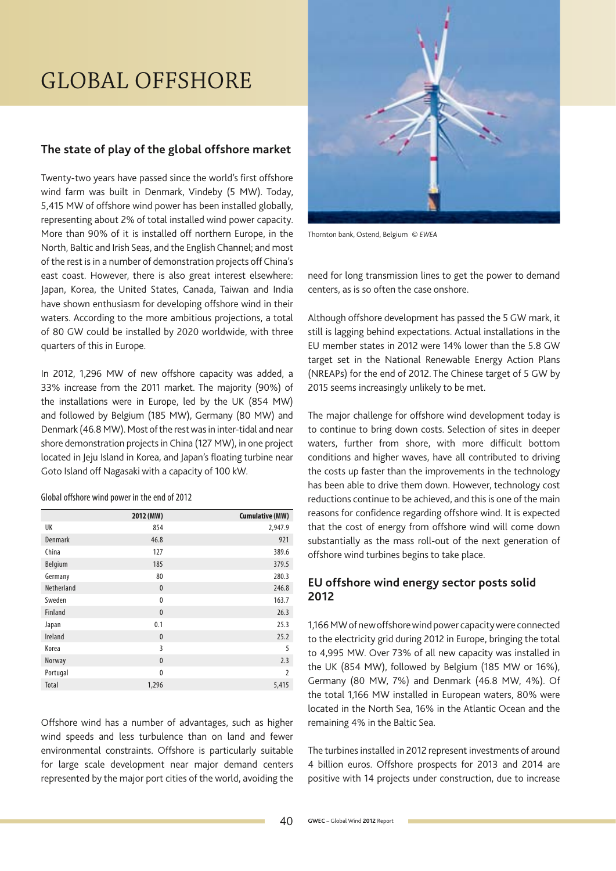# Global offshore

# **The state of play of the global offshore market**

Twenty-two years have passed since the world's first offshore wind farm was built in Denmark, Vindeby (5 MW). Today, 5,415 MW of offshore wind power has been installed globally, representing about 2% of total installed wind power capacity. More than 90% of it is installed off northern Europe, in the North, Baltic and Irish Seas, and the English Channel; and most of the rest is in a number of demonstration projects off China's east coast. However, there is also great interest elsewhere: Japan, Korea, the United States, Canada, Taiwan and India have shown enthusiasm for developing offshore wind in their waters. According to the more ambitious projections, a total of 80 GW could be installed by 2020 worldwide, with three quarters of this in Europe.

In 2012, 1,296 MW of new offshore capacity was added, a 33% increase from the 2011 market. The majority (90%) of the installations were in Europe, led by the UK (854 MW) and followed by Belgium (185 MW), Germany (80 MW) and Denmark (46.8MW). Most of the rest was in inter-tidal and near shore demonstration projects in China (127 MW), in one project located in Jeju Island in Korea, and Japan's floating turbine near Goto Island off Nagasaki with a capacity of 100 kW.

Global offshore wind power in the end of 2012

|            | 2012 (MW)    | <b>Cumulative (MW)</b> |
|------------|--------------|------------------------|
| UK         | 854          | 2,947.9                |
| Denmark    | 46.8         | 921                    |
| China      | 127          | 389.6                  |
| Belgium    | 185          | 379.5                  |
| Germany    | 80           | 280.3                  |
| Netherland | $\mathbf{0}$ | 246.8                  |
| Sweden     | 0            | 163.7                  |
| Finland    | $\mathbf{0}$ | 26.3                   |
| Japan      | 0.1          | 25.3                   |
| Ireland    | $\mathbf{0}$ | 25.2                   |
| Korea      | 3            | 5                      |
| Norway     | $\mathbf{0}$ | 2.3                    |
| Portugal   | $\mathbf{0}$ | 2                      |
| Total      | 1,296        | 5,415                  |

Offshore wind has a number of advantages, such as higher wind speeds and less turbulence than on land and fewer environmental constraints. Offshore is particularly suitable for large scale development near major demand centers represented by the major port cities of the world, avoiding the



Thornton bank, Ostend, Belgium © *EWEA*

need for long transmission lines to get the power to demand centers, as is so often the case onshore.

Although offshore development has passed the 5 GW mark, it still is lagging behind expectations. Actual installations in the EU member states in 2012 were 14% lower than the 5.8 GW target set in the National Renewable Energy Action Plans (NREAPs) for the end of 2012. The Chinese target of 5 GW by 2015 seems increasingly unlikely to be met.

The major challenge for offshore wind development today is to continue to bring down costs. Selection of sites in deeper waters, further from shore, with more difficult bottom conditions and higher waves, have all contributed to driving the costs up faster than the improvements in the technology has been able to drive them down. However, technology cost reductions continue to be achieved, and this is one of the main reasons for confidence regarding offshore wind. It is expected that the cost of energy from offshore wind will come down substantially as the mass roll-out of the next generation of offshore wind turbines begins to take place.

# **EU offshore wind energy sector posts solid 2012**

1,166MW of new offshore wind power capacity were connected to the electricity grid during 2012 in Europe, bringing the total to 4,995 MW. Over 73% of all new capacity was installed in the UK (854 MW), followed by Belgium (185 MW or 16%), Germany (80 MW, 7%) and Denmark (46.8 MW, 4%). Of the total 1,166 MW installed in European waters, 80% were located in the North Sea, 16% in the Atlantic Ocean and the remaining 4% in the Baltic Sea.

The turbines installed in 2012 represent investments of around 4 billion euros. Offshore prospects for 2013 and 2014 are positive with 14 projects under construction, due to increase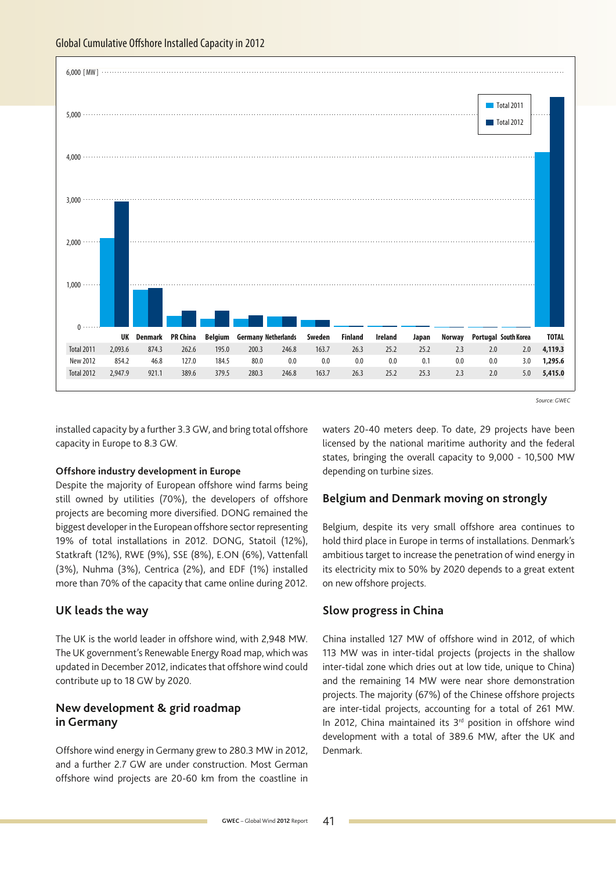

*Source: GWEC*

installed capacity by a further 3.3GW, and bring total offshore capacity in Europe to 8.3 GW.

#### **Offshore industry development in Europe**

Despite the majority of European offshore wind farms being still owned by utilities (70%), the developers of offshore projects are becoming more diversified. DONG remained the biggest developer in the European offshore sector representing 19% of total installations in 2012. DONG, Statoil (12%), Statkraft (12%), RWE (9%), SSE (8%), E.ON (6%), Vattenfall (3%), Nuhma (3%), Centrica (2%), and EDF (1%) installed more than 70% of the capacity that came online during 2012.

## **UK leads the way**

The UK is the world leader in offshore wind, with 2,948 MW. The UK government's Renewable Energy Road map, which was updated in December 2012, indicates that offshore wind could contribute up to 18 GW by 2020.

## **New development & grid roadmap in Germany**

Offshore wind energy in Germany grew to 280.3 MW in 2012, and a further 2.7 GW are under construction. Most German offshore wind projects are 20-60 km from the coastline in

waters 20-40 meters deep. To date, 29 projects have been licensed by the national maritime authority and the federal states, bringing the overall capacity to 9,000 - 10,500 MW depending on turbine sizes.

### **Belgium and Denmark moving on strongly**

Belgium, despite its very small offshore area continues to hold third place in Europe in terms of installations. Denmark's ambitious target to increase the penetration of wind energy in its electricity mix to 50% by 2020 depends to a great extent on new offshore projects.

### **Slow progress in China**

China installed 127 MW of offshore wind in 2012, of which 113 MW was in inter-tidal projects (projects in the shallow inter-tidal zone which dries out at low tide, unique to China) and the remaining 14 MW were near shore demonstration projects. The majority (67%) of the Chinese offshore projects are inter-tidal projects, accounting for a total of 261 MW. In 2012, China maintained its  $3<sup>rd</sup>$  position in offshore wind development with a total of 389.6 MW, after the UK and Denmark.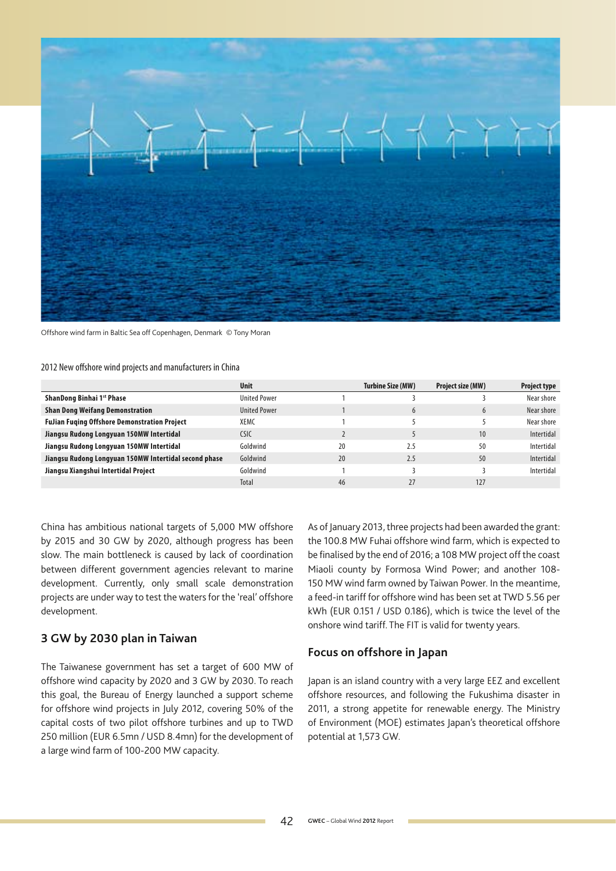

Offshore wind farm in Baltic Sea off Copenhagen, Denmark *©* Tony Moran

#### 2012 New offshore wind projects and manufacturers in China

|                                                       | <b>Unit</b>         |    | Turbine Size (MW) | Project size (MW) | <b>Project type</b> |
|-------------------------------------------------------|---------------------|----|-------------------|-------------------|---------------------|
| ShanDong Binhai 1 <sup>st</sup> Phase                 | <b>United Power</b> |    |                   |                   | Near shore          |
| <b>Shan Dong Weifang Demonstration</b>                | <b>United Power</b> |    | $\mathfrak b$     | $\mathfrak b$     | Near shore          |
| <b>FuJian Fuging Offshore Demonstration Project</b>   | XEMC                |    |                   |                   | Near shore          |
| Jiangsu Rudong Longyuan 150MW Intertidal              | <b>CSIC</b>         |    |                   | 10                | Intertidal          |
| Jiangsu Rudong Longyuan 150MW Intertidal              | Goldwind            | 20 | 2.5               | 50                | Intertidal          |
| Jiangsu Rudong Longyuan 150MW Intertidal second phase | Goldwind            | 20 | 2.5               | 50                | Intertidal          |
| Jiangsu Xiangshui Intertidal Project                  | Goldwind            |    |                   |                   | Intertidal          |
|                                                       | Total               | 46 |                   | 127               |                     |

China has ambitious national targets of 5,000 MW offshore by 2015 and 30 GW by 2020, although progress has been slow. The main bottleneck is caused by lack of coordination between different government agencies relevant to marine development. Currently, only small scale demonstration projects are under way to test the waters for the 'real' offshore development.

## **3 GW by 2030 plan in Taiwan**

The Taiwanese government has set a target of 600 MW of offshore wind capacity by 2020 and 3 GW by 2030. To reach this goal, the Bureau of Energy launched a support scheme for offshore wind projects in July 2012, covering 50% of the capital costs of two pilot offshore turbines and up to TWD 250 million (EUR 6.5mn / USD 8.4mn) for the development of a large wind farm of 100-200 MW capacity.

As of January 2013, three projects had been awarded the grant: the 100.8 MW Fuhai offshore wind farm, which is expected to be finalised by the end of 2016; a 108 MW project off the coast Miaoli county by Formosa Wind Power; and another 108- 150 MW wind farm owned by Taiwan Power. In the meantime, a feed-in tariff for offshore wind has been set at TWD 5.56 per kWh (EUR 0.151 / USD 0.186), which is twice the level of the onshore wind tariff. The FIT is valid for twenty years.

### **Focus on offshore in Japan**

Japan is an island country with a very large EEZ and excellent offshore resources, and following the Fukushima disaster in 2011, a strong appetite for renewable energy. The Ministry of Environment (MOE) estimates Japan's theoretical offshore potential at 1,573 GW.